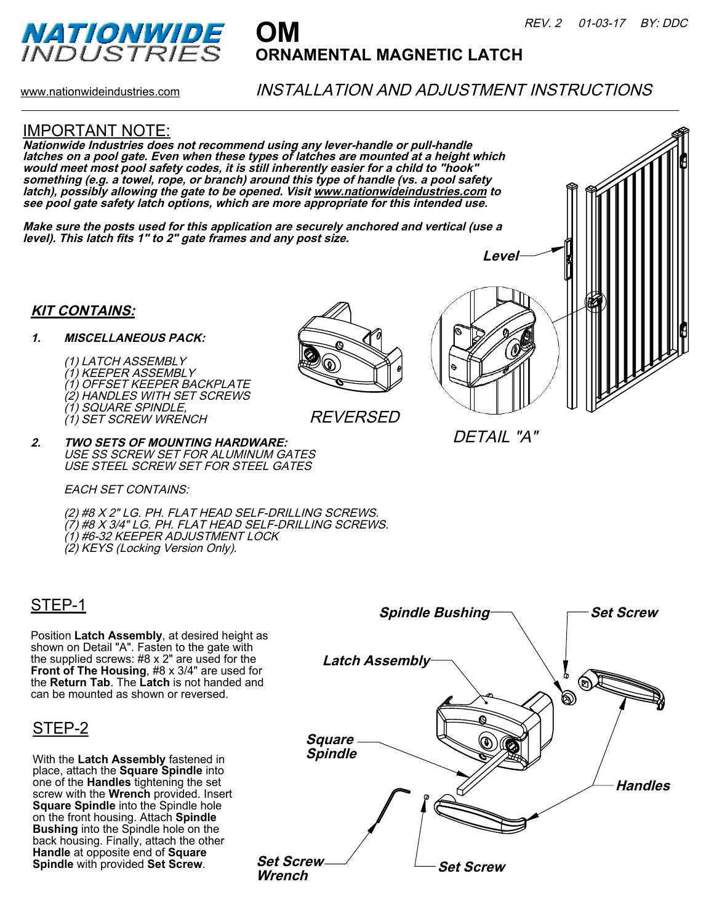

# **OM ORNAMENTAL MAGNETIC LATCH**

www.nationwideindustries.com

## INSTALLATION AND ADJUSTMENT INSTRUCTIONS

#### IMPORTANT NOTE:

**Nationwide Industries does not recommend using any lever-handle or pull-handle latches on a pool gate. Even when these types of latches are mounted at a height which would meet most pool safety codes, it is still inherently easier for a child to "hook" something (e.g. a towel, rope, or branch) around this type of handle (vs. a pool safety latch), possibly allowing the gate to be opened. Visit www.nationwideindustries.com to see pool gate safety latch options, which are more appropriate for this intended use.** 

**Make sure the posts used for this application are securely anchored and vertical (use a level). This latch fits 1" to 2" gate frames and any post size.**

#### **KIT CONTAINS:**

#### **1. MISCELLANEOUS PACK:**

(1) LATCH ASSEMBLY (1) KEEPER ASSEMBLY (1) OFFSET KEEPER BACKPLATE (2) HANDLES WITH SET SCREWS (1) SQUARE SPINDLE, (1) SET SCREW WRENCH



REVERSED



DETAIL "A"

**2. TWO SETS OF MOUNTING HARDWARE:** USE SS SCREW SET FOR ALUMINUM GATES USE STEEL SCREW SET FOR STEEL GATES

EACH SET CONTAINS:

(2) #8 X 2" LG. PH. FLAT HEAD SELF-DRILLING SCREWS. (7) #8 X 3/4" LG. PH. FLAT HEAD SELF-DRILLING SCREWS. (1) #6-32 KEEPER ADJUSTMENT LOCK (2) KEYS (Locking Version Only).

## STEP-1

Position **Latch Assembly**, at desired height as shown on Detail "A". Fasten to the gate with the supplied screws: #8 x 2" are used for the **Front of The Housing**, #8 x 3/4" are used for the **Return Tab**. The **Latch** is not handed and can be mounted as shown or reversed.

## STEP-2

With the **Latch Assembly** fastened in place, attach the **Square Spindle** into one of the **Handles** tightening the set screw with the **Wrench** provided. Insert **Square Spindle** into the Spindle hole on the front housing. Attach **Spindle Bushing** into the Spindle hole on the back housing. Finally, attach the other **Handle** at opposite end of **Square Spindle** with provided **Set Screw**.